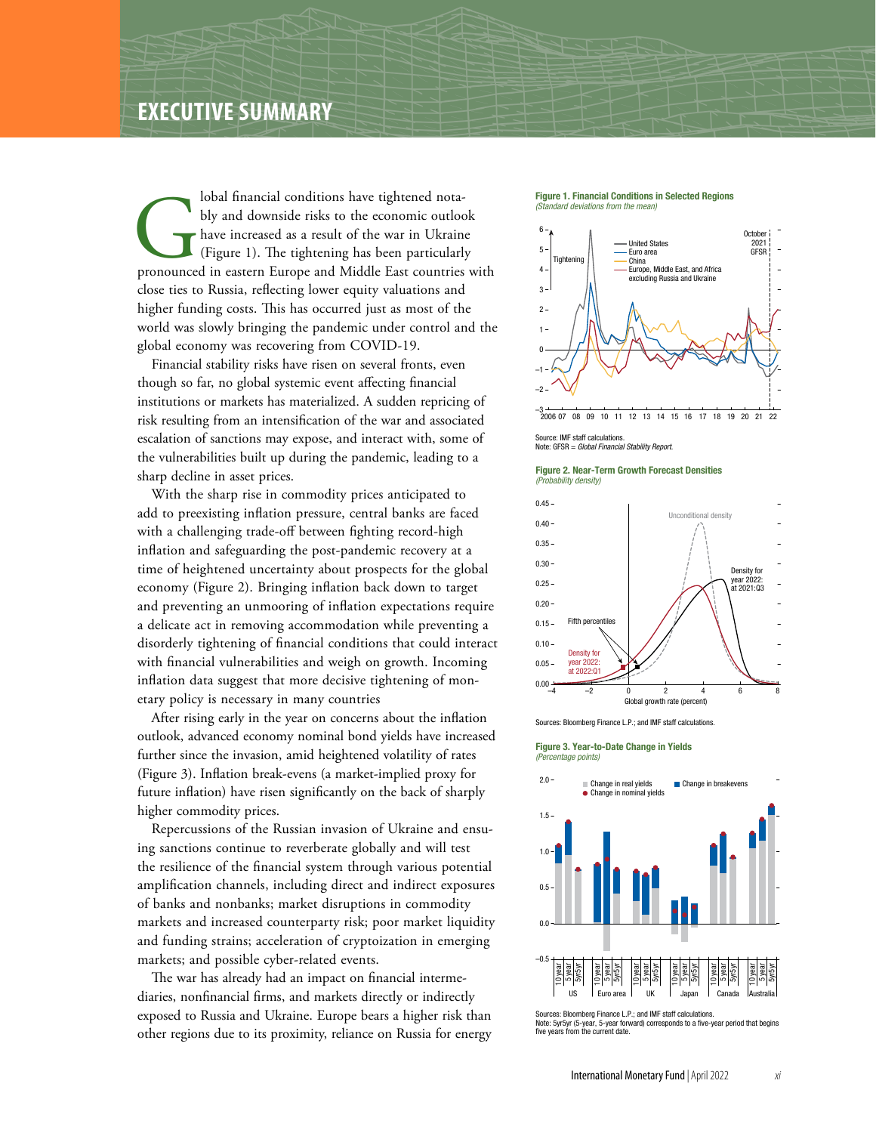Iobal financial conditions have tightened nota-<br>bly and downside risks to the economic outlook<br>have increased as a result of the war in Ukraine<br>(Figure 1). The tightening has been particularly<br>pronounced in eastern Europe bly and downside risks to the economic outlook have increased as a result of the war in Ukraine (Figure 1). The tightening has been particularly close ties to Russia, reflecting lower equity valuations and higher funding costs. This has occurred just as most of the world was slowly bringing the pandemic under control and the global economy was recovering from COVID-19.

Financial stability risks have risen on several fronts, even though so far, no global systemic event affecting financial institutions or markets has materialized. A sudden repricing of risk resulting from an intensification of the war and associated escalation of sanctions may expose, and interact with, some of the vulnerabilities built up during the pandemic, leading to a sharp decline in asset prices.

With the sharp rise in commodity prices anticipated to add to preexisting inflation pressure, central banks are faced with a challenging trade-off between fighting record-high inflation and safeguarding the post-pandemic recovery at a time of heightened uncertainty about prospects for the global economy (Figure 2). Bringing inflation back down to target and preventing an unmooring of inflation expectations require a delicate act in removing accommodation while preventing a disorderly tightening of financial conditions that could interact with financial vulnerabilities and weigh on growth. Incoming inflation data suggest that more decisive tightening of monetary policy is necessary in many countries

After rising early in the year on concerns about the inflation outlook, advanced economy nominal bond yields have increased further since the invasion, amid heightened volatility of rates (Figure 3). Inflation break-evens (a market-implied proxy for future inflation) have risen significantly on the back of sharply higher commodity prices.

Repercussions of the Russian invasion of Ukraine and ensuing sanctions continue to reverberate globally and will test the resilience of the financial system through various potential amplification channels, including direct and indirect exposures of banks and nonbanks; market disruptions in commodity markets and increased counterparty risk; poor market liquidity and funding strains; acceleration of cryptoization in emerging markets; and possible cyber-related events.

The war has already had an impact on financial intermediaries, nonfinancial firms, and markets directly or indirectly exposed to Russia and Ukraine. Europe bears a higher risk than other regions due to its proximity, reliance on Russia for energy

## Figure 1. Financial Conditions in Selected Regions (Standard deviations from the mean)



Source: IMF staff calculations.

Note: GFSR = Global Financial Stability Report.

Figure 2. Near-Term Growth Forecast Densities *(Probability density)*



Sources: Bloomberg Finance L.P.; and IMF staff calculations.

Figure 3. Year-to-Date Change in Yields *(Percentage points)*



Sources: Bloomberg Finance L.P.; and IMF staff calculations.<br>Note: 5yr5yr (5-year, 5-year forward) corresponds to a fiverd) corresponds to a five-year period that b five years from the current date.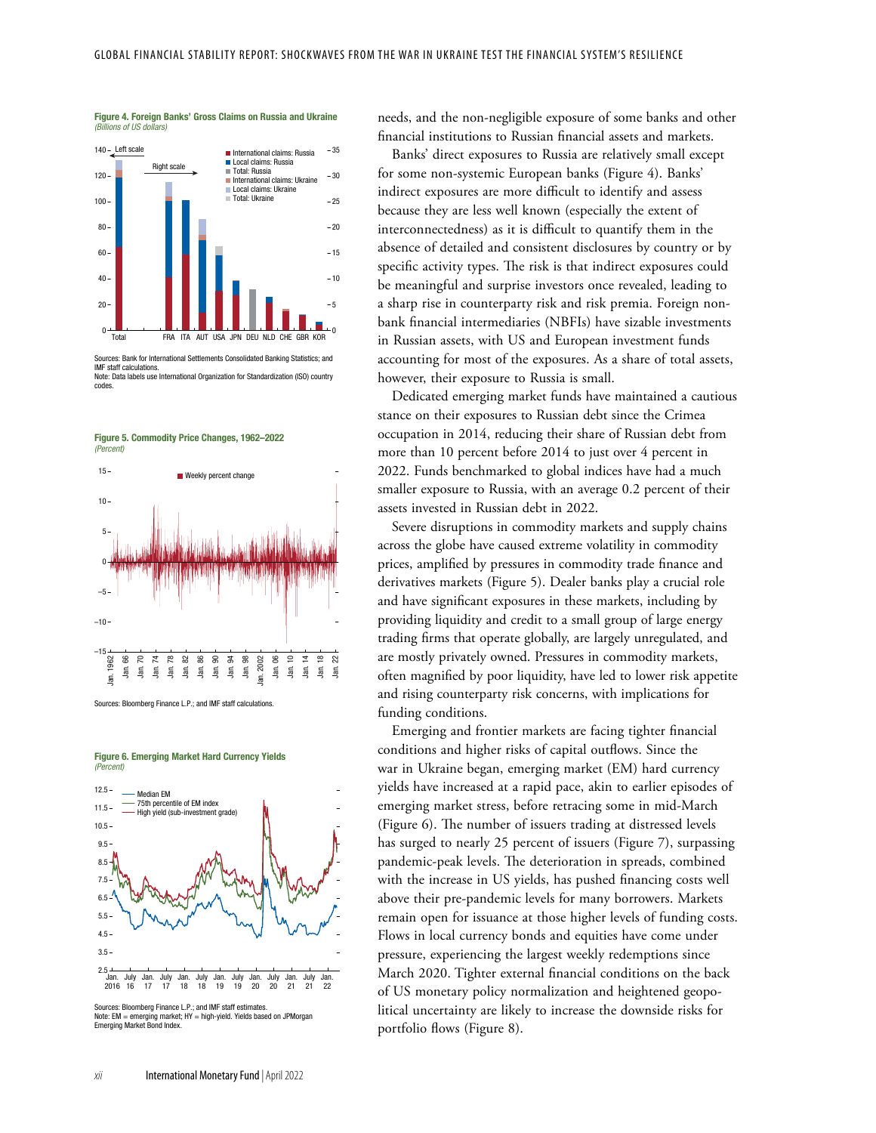Figure 4. Foreign Banks' Gross Claims on Russia and Ukraine *(Billions of US dollars)*



Sources: Bank for International Settlements Consolidated Banking Statistics; and IMF staff calculations. Note: Data labels use International Organization for Standardization (ISO) country



codes.

*(Percent)*



Figure 6. Emerging Market Hard Currency Yields

Median EM 75th percentile of EM index High yield (sub-investment grad 2.5 Jan. 2016 July 16  $12.5 -$ 3.5  $4.5.$ 5.5 6.5 7.5  $8.5 -$ 9.5  $10.5 -$ 11.5 Jan. 17 July 17 Jan. 18 July 18 Jan. 19 July 19 Jan. 20 July 20 Jan. 21 July 21 Jan. 22

Sources: Bloomberg Finance L.P.; and IMF staff estimates. Note: EM = emerging market; HY = high-yield. Yields based on JPMorgan Emerging Market Bond Index. needs, and the non-negligible exposure of some banks and other financial institutions to Russian financial assets and markets.

Banks' direct exposures to Russia are relatively small except for some non-systemic European banks (Figure 4). Banks' indirect exposures are more difficult to identify and assess because they are less well known (especially the extent of interconnectedness) as it is difficult to quantify them in the absence of detailed and consistent disclosures by country or by specific activity types. The risk is that indirect exposures could be meaningful and surprise investors once revealed, leading to a sharp rise in counterparty risk and risk premia. Foreign nonbank financial intermediaries (NBFIs) have sizable investments in Russian assets, with US and European investment funds accounting for most of the exposures. As a share of total assets, however, their exposure to Russia is small.

Dedicated emerging market funds have maintained a cautious stance on their exposures to Russian debt since the Crimea occupation in 2014, reducing their share of Russian debt from more than 10 percent before 2014 to just over 4 percent in 2022. Funds benchmarked to global indices have had a much smaller exposure to Russia, with an average 0.2 percent of their assets invested in Russian debt in 2022.

Severe disruptions in commodity markets and supply chains across the globe have caused extreme volatility in commodity prices, amplified by pressures in commodity trade finance and derivatives markets (Figure 5). Dealer banks play a crucial role and have significant exposures in these markets, including by providing liquidity and credit to a small group of large energy trading firms that operate globally, are largely unregulated, and are mostly privately owned. Pressures in commodity markets, often magnified by poor liquidity, have led to lower risk appetite and rising counterparty risk concerns, with implications for funding conditions.

Emerging and frontier markets are facing tighter financial conditions and higher risks of capital outflows. Since the war in Ukraine began, emerging market (EM) hard currency yields have increased at a rapid pace, akin to earlier episodes of emerging market stress, before retracing some in mid-March (Figure 6). The number of issuers trading at distressed levels has surged to nearly 25 percent of issuers (Figure 7), surpassing pandemic-peak levels. The deterioration in spreads, combined with the increase in US yields, has pushed financing costs well above their pre-pandemic levels for many borrowers. Markets remain open for issuance at those higher levels of funding costs. Flows in local currency bonds and equities have come under pressure, experiencing the largest weekly redemptions since March 2020. Tighter external financial conditions on the back of US monetary policy normalization and heightened geopolitical uncertainty are likely to increase the downside risks for portfolio flows (Figure 8).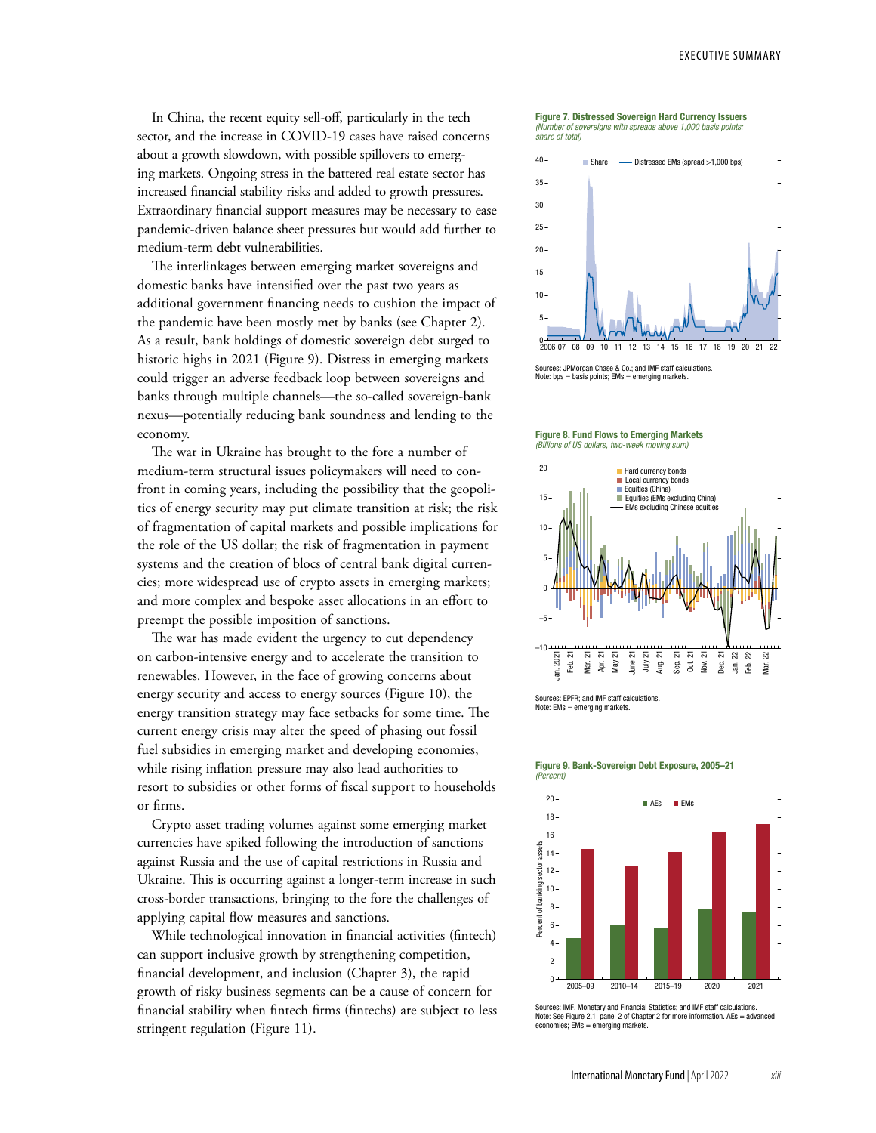In China, the recent equity sell-off, particularly in the tech sector, and the increase in COVID-19 cases have raised concerns about a growth slowdown, with possible spillovers to emerging markets. Ongoing stress in the battered real estate sector has increased financial stability risks and added to growth pressures. Extraordinary financial support measures may be necessary to ease pandemic-driven balance sheet pressures but would add further to medium-term debt vulnerabilities.

The interlinkages between emerging market sovereigns and domestic banks have intensified over the past two years as additional government financing needs to cushion the impact of the pandemic have been mostly met by banks (see Chapter 2). As a result, bank holdings of domestic sovereign debt surged to historic highs in 2021 (Figure 9). Distress in emerging markets could trigger an adverse feedback loop between sovereigns and banks through multiple channels—the so-called sovereign-bank nexus—potentially reducing bank soundness and lending to the economy.

The war in Ukraine has brought to the fore a number of medium-term structural issues policymakers will need to confront in coming years, including the possibility that the geopolitics of energy security may put climate transition at risk; the risk of fragmentation of capital markets and possible implications for the role of the US dollar; the risk of fragmentation in payment systems and the creation of blocs of central bank digital currencies; more widespread use of crypto assets in emerging markets; and more complex and bespoke asset allocations in an effort to preempt the possible imposition of sanctions.

The war has made evident the urgency to cut dependency on carbon-intensive energy and to accelerate the transition to renewables. However, in the face of growing concerns about energy security and access to energy sources (Figure 10), the energy transition strategy may face setbacks for some time. The current energy crisis may alter the speed of phasing out fossil fuel subsidies in emerging market and developing economies, while rising inflation pressure may also lead authorities to resort to subsidies or other forms of fiscal support to households or firms.

Crypto asset trading volumes against some emerging market currencies have spiked following the introduction of sanctions against Russia and the use of capital restrictions in Russia and Ukraine. This is occurring against a longer-term increase in such cross-border transactions, bringing to the fore the challenges of applying capital flow measures and sanctions.

While technological innovation in financial activities (fintech) can support inclusive growth by strengthening competition, financial development, and inclusion (Chapter 3), the rapid growth of risky business segments can be a cause of concern for financial stability when fintech firms (fintechs) are subject to less stringent regulation (Figure 11).





Sources: JPMorgan Chase & Co.; and IMF staff calculations. Note: bps = basis points; EMs = emerging markets.

## Figure 8. Fund Flows to Emerging Markets *(Billions of US dollars, two-week moving sum)*



Note: EMs = emerging markets.

## Figure 9. Bank-Sovereign Debt Exposure, 2005–21 *(Percent)*



Sources: IMF, Monetary and Financial Statistics; and IMF staff calculations. Note: See Figure 2.1, panel 2 of Chapter 2 for more information. AEs = advanced economies; EMs = emerging markets.